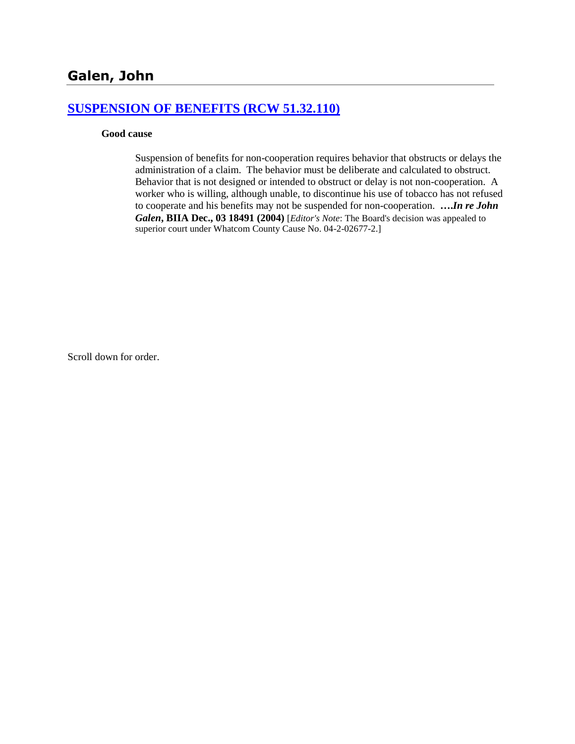### **[SUSPENSION OF BENEFITS \(RCW 51.32.110\)](http://www.biia.wa.gov/SDSubjectIndex.html#SUSPENSION_OF_BENEFITS)**

#### **Good cause**

Suspension of benefits for non-cooperation requires behavior that obstructs or delays the administration of a claim. The behavior must be deliberate and calculated to obstruct. Behavior that is not designed or intended to obstruct or delay is not non-cooperation. A worker who is willing, although unable, to discontinue his use of tobacco has not refused to cooperate and his benefits may not be suspended for non-cooperation. **….***In re John Galen***, BIIA Dec., 03 18491 (2004)** [*Editor's Note*: The Board's decision was appealed to superior court under Whatcom County Cause No. 04-2-02677-2.]

Scroll down for order.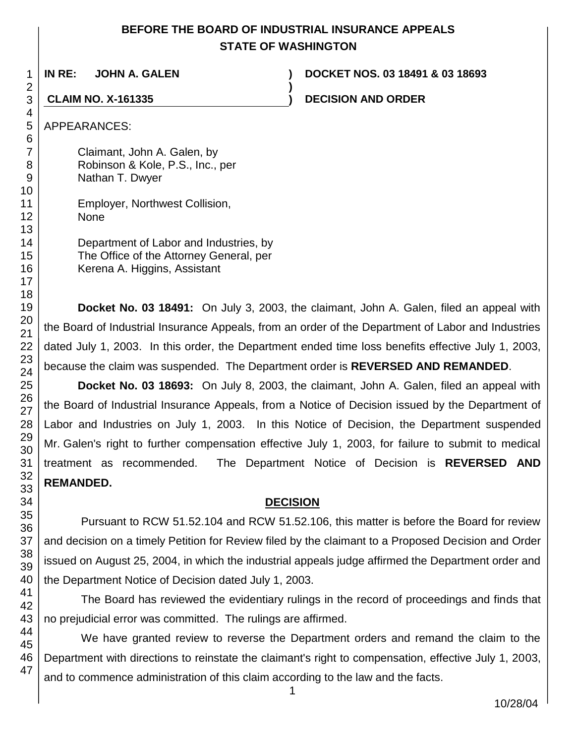# **BEFORE THE BOARD OF INDUSTRIAL INSURANCE APPEALS STATE OF WASHINGTON**

**)**

**IN RE: JOHN A. GALEN ) DOCKET NOS. 03 18491 & 03 18693**

**CLAIM NO. X-161335 ) DECISION AND ORDER**

Claimant, John A. Galen, by Robinson & Kole, P.S., Inc., per Nathan T. Dwyer

Employer, Northwest Collision, None

Department of Labor and Industries, by The Office of the Attorney General, per Kerena A. Higgins, Assistant

**Docket No. 03 18491:** On July 3, 2003, the claimant, John A. Galen, filed an appeal with the Board of Industrial Insurance Appeals, from an order of the Department of Labor and Industries dated July 1, 2003. In this order, the Department ended time loss benefits effective July 1, 2003, because the claim was suspended. The Department order is **REVERSED AND REMANDED**.

**Docket No. 03 18693:** On July 8, 2003, the claimant, John A. Galen, filed an appeal with the Board of Industrial Insurance Appeals, from a Notice of Decision issued by the Department of Labor and Industries on July 1, 2003. In this Notice of Decision, the Department suspended Mr. Galen's right to further compensation effective July 1, 2003, for failure to submit to medical treatment as recommended. The Department Notice of Decision is **REVERSED AND REMANDED.** 

# **DECISION**

Pursuant to RCW 51.52.104 and RCW 51.52.106, this matter is before the Board for review and decision on a timely Petition for Review filed by the claimant to a Proposed Decision and Order issued on August 25, 2004, in which the industrial appeals judge affirmed the Department order and the Department Notice of Decision dated July 1, 2003.

The Board has reviewed the evidentiary rulings in the record of proceedings and finds that no prejudicial error was committed. The rulings are affirmed.

We have granted review to reverse the Department orders and remand the claim to the Department with directions to reinstate the claimant's right to compensation, effective July 1, 2003, and to commence administration of this claim according to the law and the facts.

1

47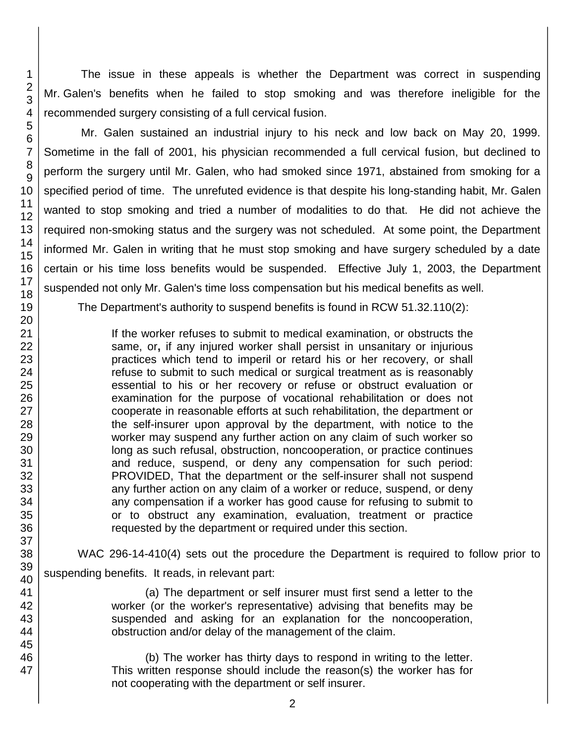The issue in these appeals is whether the Department was correct in suspending Mr. Galen's benefits when he failed to stop smoking and was therefore ineligible for the recommended surgery consisting of a full cervical fusion.

Mr. Galen sustained an industrial injury to his neck and low back on May 20, 1999. Sometime in the fall of 2001, his physician recommended a full cervical fusion, but declined to perform the surgery until Mr. Galen, who had smoked since 1971, abstained from smoking for a specified period of time. The unrefuted evidence is that despite his long-standing habit, Mr. Galen wanted to stop smoking and tried a number of modalities to do that. He did not achieve the required non-smoking status and the surgery was not scheduled. At some point, the Department informed Mr. Galen in writing that he must stop smoking and have surgery scheduled by a date certain or his time loss benefits would be suspended. Effective July 1, 2003, the Department suspended not only Mr. Galen's time loss compensation but his medical benefits as well.

The Department's authority to suspend benefits is found in RCW 51.32.110(2):

If the worker refuses to submit to medical examination, or obstructs the same, or**,** if any injured worker shall persist in unsanitary or injurious practices which tend to imperil or retard his or her recovery, or shall refuse to submit to such medical or surgical treatment as is reasonably essential to his or her recovery or refuse or obstruct evaluation or examination for the purpose of vocational rehabilitation or does not cooperate in reasonable efforts at such rehabilitation, the department or the self-insurer upon approval by the department, with notice to the worker may suspend any further action on any claim of such worker so long as such refusal, obstruction, noncooperation, or practice continues and reduce, suspend, or deny any compensation for such period: PROVIDED, That the department or the self-insurer shall not suspend any further action on any claim of a worker or reduce, suspend, or deny any compensation if a worker has good cause for refusing to submit to or to obstruct any examination, evaluation, treatment or practice requested by the department or required under this section.

WAC 296-14-410(4) sets out the procedure the Department is required to follow prior to suspending benefits. It reads, in relevant part:

> (a) The department or self insurer must first send a letter to the worker (or the worker's representative) advising that benefits may be suspended and asking for an explanation for the noncooperation, obstruction and/or delay of the management of the claim.

> (b) The worker has thirty days to respond in writing to the letter. This written response should include the reason(s) the worker has for not cooperating with the department or self insurer.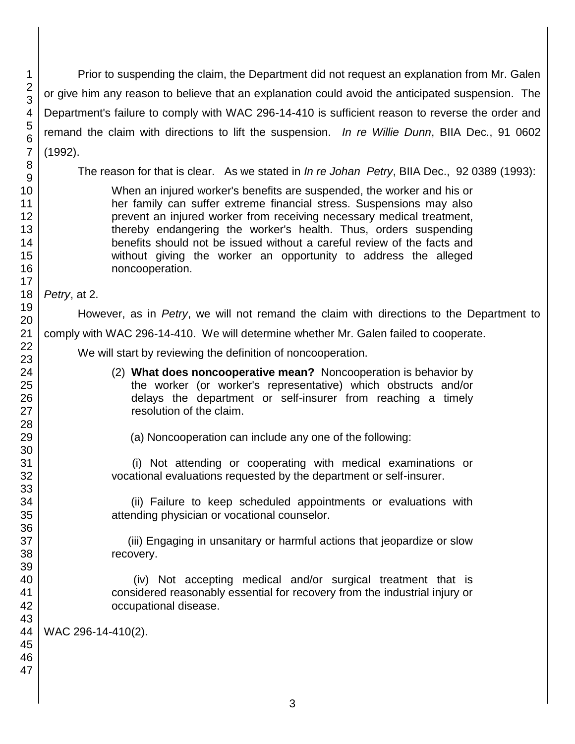Prior to suspending the claim, the Department did not request an explanation from Mr. Galen or give him any reason to believe that an explanation could avoid the anticipated suspension. The Department's failure to comply with WAC 296-14-410 is sufficient reason to reverse the order and remand the claim with directions to lift the suspension. *In re Willie Dunn*, BIIA Dec., 91 0602 (1992).

The reason for that is clear. As we stated in *In re Johan Petry*, BIIA Dec., 92 0389 (1993):

When an injured worker's benefits are suspended, the worker and his or her family can suffer extreme financial stress. Suspensions may also prevent an injured worker from receiving necessary medical treatment, thereby endangering the worker's health. Thus, orders suspending benefits should not be issued without a careful review of the facts and without giving the worker an opportunity to address the alleged noncooperation.

*Petry*, at 2.

However, as in *Petry*, we will not remand the claim with directions to the Department to comply with WAC 296-14-410. We will determine whether Mr. Galen failed to cooperate.

We will start by reviewing the definition of noncooperation.

- (2) **What does noncooperative mean?** Noncooperation is behavior by the worker (or worker's representative) which obstructs and/or delays the department or self-insurer from reaching a timely resolution of the claim.
	- (a) Noncooperation can include any one of the following:

 (i) Not attending or cooperating with medical examinations or vocational evaluations requested by the department or self-insurer.

 (ii) Failure to keep scheduled appointments or evaluations with attending physician or vocational counselor.

 (iii) Engaging in unsanitary or harmful actions that jeopardize or slow recovery.

 (iv) Not accepting medical and/or surgical treatment that is considered reasonably essential for recovery from the industrial injury or occupational disease.

WAC 296-14-410(2).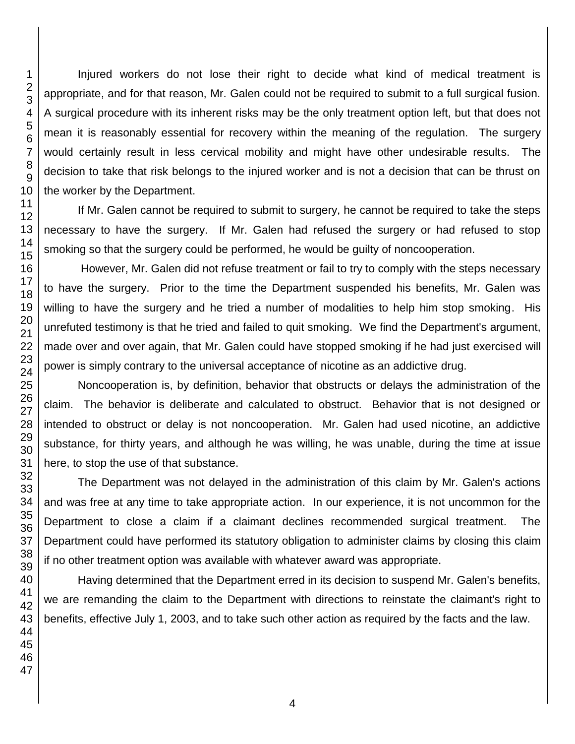Injured workers do not lose their right to decide what kind of medical treatment is appropriate, and for that reason, Mr. Galen could not be required to submit to a full surgical fusion. A surgical procedure with its inherent risks may be the only treatment option left, but that does not mean it is reasonably essential for recovery within the meaning of the regulation. The surgery would certainly result in less cervical mobility and might have other undesirable results. The decision to take that risk belongs to the injured worker and is not a decision that can be thrust on the worker by the Department.

If Mr. Galen cannot be required to submit to surgery, he cannot be required to take the steps necessary to have the surgery. If Mr. Galen had refused the surgery or had refused to stop smoking so that the surgery could be performed, he would be guilty of noncooperation.

However, Mr. Galen did not refuse treatment or fail to try to comply with the steps necessary to have the surgery. Prior to the time the Department suspended his benefits, Mr. Galen was willing to have the surgery and he tried a number of modalities to help him stop smoking. His unrefuted testimony is that he tried and failed to quit smoking. We find the Department's argument, made over and over again, that Mr. Galen could have stopped smoking if he had just exercised will power is simply contrary to the universal acceptance of nicotine as an addictive drug.

Noncooperation is, by definition, behavior that obstructs or delays the administration of the claim. The behavior is deliberate and calculated to obstruct. Behavior that is not designed or intended to obstruct or delay is not noncooperation. Mr. Galen had used nicotine, an addictive substance, for thirty years, and although he was willing, he was unable, during the time at issue here, to stop the use of that substance.

The Department was not delayed in the administration of this claim by Mr. Galen's actions and was free at any time to take appropriate action. In our experience, it is not uncommon for the Department to close a claim if a claimant declines recommended surgical treatment. The Department could have performed its statutory obligation to administer claims by closing this claim if no other treatment option was available with whatever award was appropriate.

Having determined that the Department erred in its decision to suspend Mr. Galen's benefits, we are remanding the claim to the Department with directions to reinstate the claimant's right to benefits, effective July 1, 2003, and to take such other action as required by the facts and the law.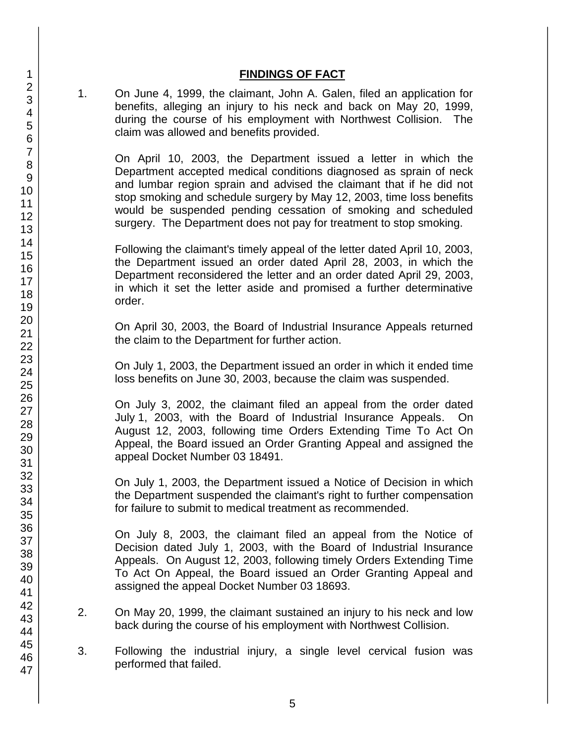#### **FINDINGS OF FACT**

1. On June 4, 1999, the claimant, John A. Galen, filed an application for benefits, alleging an injury to his neck and back on May 20, 1999, during the course of his employment with Northwest Collision. The claim was allowed and benefits provided.

On April 10, 2003, the Department issued a letter in which the Department accepted medical conditions diagnosed as sprain of neck and lumbar region sprain and advised the claimant that if he did not stop smoking and schedule surgery by May 12, 2003, time loss benefits would be suspended pending cessation of smoking and scheduled surgery. The Department does not pay for treatment to stop smoking.

Following the claimant's timely appeal of the letter dated April 10, 2003, the Department issued an order dated April 28, 2003, in which the Department reconsidered the letter and an order dated April 29, 2003, in which it set the letter aside and promised a further determinative order.

On April 30, 2003, the Board of Industrial Insurance Appeals returned the claim to the Department for further action.

On July 1, 2003, the Department issued an order in which it ended time loss benefits on June 30, 2003, because the claim was suspended.

On July 3, 2002, the claimant filed an appeal from the order dated July 1, 2003, with the Board of Industrial Insurance Appeals. On August 12, 2003, following time Orders Extending Time To Act On Appeal, the Board issued an Order Granting Appeal and assigned the appeal Docket Number 03 18491.

On July 1, 2003, the Department issued a Notice of Decision in which the Department suspended the claimant's right to further compensation for failure to submit to medical treatment as recommended.

On July 8, 2003, the claimant filed an appeal from the Notice of Decision dated July 1, 2003, with the Board of Industrial Insurance Appeals. On August 12, 2003, following timely Orders Extending Time To Act On Appeal, the Board issued an Order Granting Appeal and assigned the appeal Docket Number 03 18693.

- 2. On May 20, 1999, the claimant sustained an injury to his neck and low back during the course of his employment with Northwest Collision.
- 3. Following the industrial injury, a single level cervical fusion was performed that failed.
- 1 2 3 4 5 6 7 8 9 10 11 12 13 14 15 16 17 18 19 20 21 22 23 24 25 26 27 28 29 30 31 32 33 34 35 36 37 38 39 40 41 42 43 44 45 46 47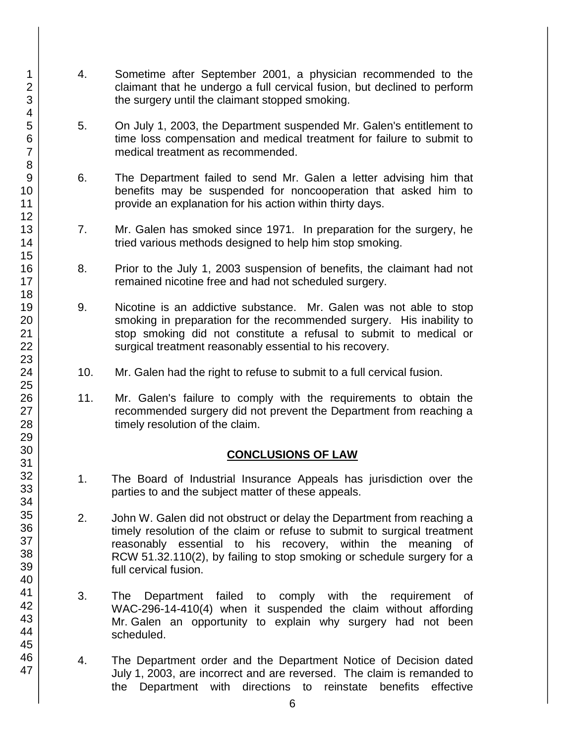- 4. Sometime after September 2001, a physician recommended to the claimant that he undergo a full cervical fusion, but declined to perform the surgery until the claimant stopped smoking.
- 5. On July 1, 2003, the Department suspended Mr. Galen's entitlement to time loss compensation and medical treatment for failure to submit to medical treatment as recommended.
- 6. The Department failed to send Mr. Galen a letter advising him that benefits may be suspended for noncooperation that asked him to provide an explanation for his action within thirty days.
- 7. Mr. Galen has smoked since 1971. In preparation for the surgery, he tried various methods designed to help him stop smoking.
- 8. Prior to the July 1, 2003 suspension of benefits, the claimant had not remained nicotine free and had not scheduled surgery.
- 9. Nicotine is an addictive substance. Mr. Galen was not able to stop smoking in preparation for the recommended surgery. His inability to stop smoking did not constitute a refusal to submit to medical or surgical treatment reasonably essential to his recovery.
- 10. Mr. Galen had the right to refuse to submit to a full cervical fusion.
- 11. Mr. Galen's failure to comply with the requirements to obtain the recommended surgery did not prevent the Department from reaching a timely resolution of the claim.

# **CONCLUSIONS OF LAW**

- 1. The Board of Industrial Insurance Appeals has jurisdiction over the parties to and the subject matter of these appeals.
- 2. John W. Galen did not obstruct or delay the Department from reaching a timely resolution of the claim or refuse to submit to surgical treatment reasonably essential to his recovery, within the meaning of RCW 51.32.110(2), by failing to stop smoking or schedule surgery for a full cervical fusion.
- 3. The Department failed to comply with the requirement of WAC-296-14-410(4) when it suspended the claim without affording Mr. Galen an opportunity to explain why surgery had not been scheduled.
- 4. The Department order and the Department Notice of Decision dated July 1, 2003, are incorrect and are reversed. The claim is remanded to the Department with directions to reinstate benefits effective